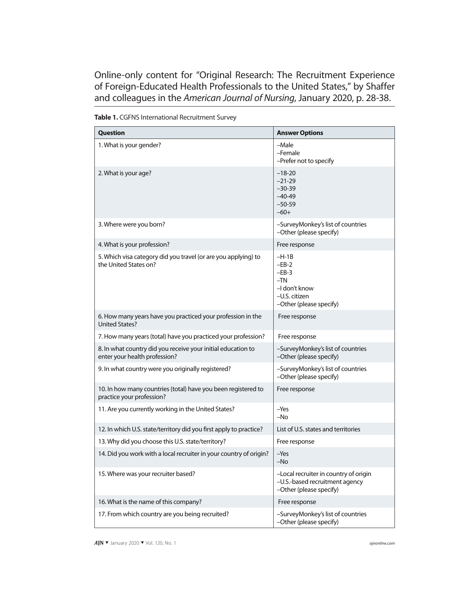Online-only content for "Original Research: The Recruitment Experience of Foreign-Educated Health Professionals to the United States," by Shaffer and colleagues in the *American Journal of Nursing*, January 2020, p. 28-38.

| <b>Question</b>                                                                               | <b>Answer Options</b>                                                                               |
|-----------------------------------------------------------------------------------------------|-----------------------------------------------------------------------------------------------------|
| 1. What is your gender?                                                                       | -Male<br>-Female<br>-Prefer not to specify                                                          |
| 2. What is your age?                                                                          | $-18-20$<br>$-21-29$<br>$-30-39$<br>$-40-49$<br>$-50-59$<br>$-60+$                                  |
| 3. Where were you born?                                                                       | -SurveyMonkey's list of countries<br>-Other (please specify)                                        |
| 4. What is your profession?                                                                   | Free response                                                                                       |
| 5. Which visa category did you travel (or are you applying) to<br>the United States on?       | $-H-1B$<br>$-EB-2$<br>$-EB-3$<br>$-TN$<br>-I don't know<br>-U.S. citizen<br>-Other (please specify) |
| 6. How many years have you practiced your profession in the<br><b>United States?</b>          | Free response                                                                                       |
| 7. How many years (total) have you practiced your profession?                                 | Free response                                                                                       |
| 8. In what country did you receive your initial education to<br>enter your health profession? | -SurveyMonkey's list of countries<br>-Other (please specify)                                        |
| 9. In what country were you originally registered?                                            | -SurveyMonkey's list of countries<br>-Other (please specify)                                        |
| 10. In how many countries (total) have you been registered to<br>practice your profession?    | Free response                                                                                       |
| 11. Are you currently working in the United States?                                           | $-Yes$<br>$-NO$                                                                                     |
| 12. In which U.S. state/territory did you first apply to practice?                            | List of U.S. states and territories                                                                 |
| 13. Why did you choose this U.S. state/territory?                                             | Free response                                                                                       |
| 14. Did you work with a local recruiter in your country of origin?                            | $-Yes$<br>$-NO$                                                                                     |
| 15. Where was your recruiter based?                                                           | -Local recruiter in country of origin<br>-U.S.-based recruitment agency<br>-Other (please specify)  |
| 16. What is the name of this company?                                                         | Free response                                                                                       |
| 17. From which country are you being recruited?                                               | -SurveyMonkey's list of countries<br>-Other (please specify)                                        |

**Table 1.** CGFNS International Recruitment Survey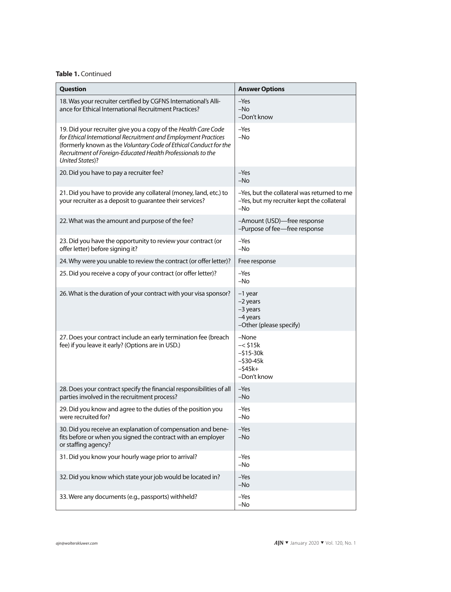## **Table 1.** Continued

| Question                                                                                                                                                                                                                                                                                      | <b>Answer Options</b>                                                                            |
|-----------------------------------------------------------------------------------------------------------------------------------------------------------------------------------------------------------------------------------------------------------------------------------------------|--------------------------------------------------------------------------------------------------|
| 18. Was your recruiter certified by CGFNS International's Alli-<br>ance for Ethical International Recruitment Practices?                                                                                                                                                                      | $-Yes$<br>$-NO$<br>-Don't know                                                                   |
| 19. Did your recruiter give you a copy of the Health Care Code<br>for Ethical International Recruitment and Employment Practices<br>(formerly known as the Voluntary Code of Ethical Conduct for the<br>Recruitment of Foreign-Educated Health Professionals to the<br><b>United States)?</b> | $-Yes$<br>$-NO$                                                                                  |
| 20. Did you have to pay a recruiter fee?                                                                                                                                                                                                                                                      | $-Yes$<br>$-NO$                                                                                  |
| 21. Did you have to provide any collateral (money, land, etc.) to<br>your recruiter as a deposit to guarantee their services?                                                                                                                                                                 | -Yes, but the collateral was returned to me<br>-Yes, but my recruiter kept the collateral<br>-No |
| 22. What was the amount and purpose of the fee?                                                                                                                                                                                                                                               | -Amount (USD)-free response<br>-Purpose of fee-free response                                     |
| 23. Did you have the opportunity to review your contract (or<br>offer letter) before signing it?                                                                                                                                                                                              | $-Yes$<br>$-NO$                                                                                  |
| 24. Why were you unable to review the contract (or offer letter)?                                                                                                                                                                                                                             | Free response                                                                                    |
| 25. Did you receive a copy of your contract (or offer letter)?                                                                                                                                                                                                                                | $-Yes$<br>$-NO$                                                                                  |
| 26. What is the duration of your contract with your visa sponsor?                                                                                                                                                                                                                             | -1 year<br>$-2$ years<br>-3 years<br>-4 years<br>-Other (please specify)                         |
| 27. Does your contract include an early termination fee (breach<br>fee) if you leave it early? (Options are in USD.)                                                                                                                                                                          | -None<br>$-<$ \$15 $k$<br>$-$ \$15-30 $k$<br>$-$ \$30-45 $k$<br>$-545k+$<br>-Don't know          |
| 28. Does your contract specify the financial responsibilities of all<br>parties involved in the recruitment process?                                                                                                                                                                          | -Yes<br>$-NO$                                                                                    |
| 29. Did you know and agree to the duties of the position you<br>were recruited for?                                                                                                                                                                                                           | $-Yes$<br>$-NO$                                                                                  |
| 30. Did you receive an explanation of compensation and bene-<br>fits before or when you signed the contract with an employer<br>or staffing agency?                                                                                                                                           | $-Yes$<br>$-NO$                                                                                  |
| 31. Did you know your hourly wage prior to arrival?                                                                                                                                                                                                                                           | $-Yes$<br>$-No$                                                                                  |
| 32. Did you know which state your job would be located in?                                                                                                                                                                                                                                    | $-Yes$<br>$-No$                                                                                  |
| 33. Were any documents (e.g., passports) withheld?                                                                                                                                                                                                                                            | $-Yes$<br>$-NO$                                                                                  |